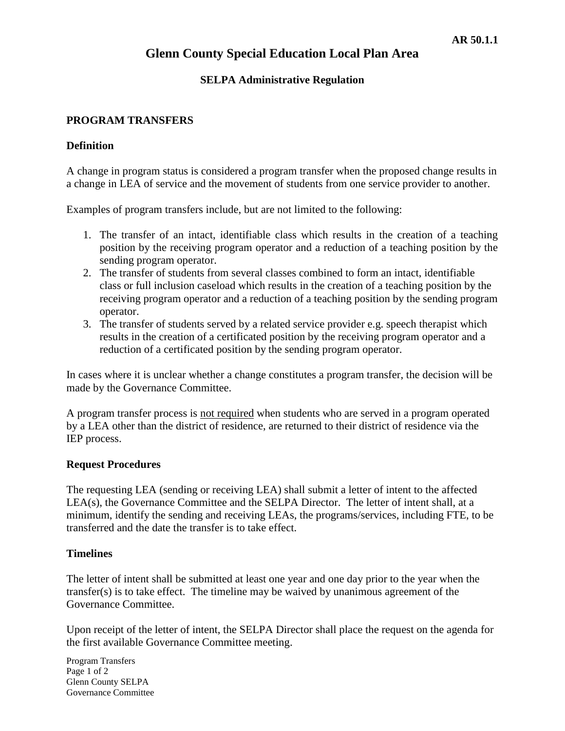## **Glenn County Special Education Local Plan Area**

### **SELPA Administrative Regulation**

### **PROGRAM TRANSFERS**

#### **Definition**

A change in program status is considered a program transfer when the proposed change results in a change in LEA of service and the movement of students from one service provider to another.

Examples of program transfers include, but are not limited to the following:

- 1. The transfer of an intact, identifiable class which results in the creation of a teaching position by the receiving program operator and a reduction of a teaching position by the sending program operator.
- 2. The transfer of students from several classes combined to form an intact, identifiable class or full inclusion caseload which results in the creation of a teaching position by the receiving program operator and a reduction of a teaching position by the sending program operator.
- 3. The transfer of students served by a related service provider e.g. speech therapist which results in the creation of a certificated position by the receiving program operator and a reduction of a certificated position by the sending program operator.

In cases where it is unclear whether a change constitutes a program transfer, the decision will be made by the Governance Committee.

A program transfer process is not required when students who are served in a program operated by a LEA other than the district of residence, are returned to their district of residence via the IEP process.

### **Request Procedures**

The requesting LEA (sending or receiving LEA) shall submit a letter of intent to the affected LEA(s), the Governance Committee and the SELPA Director. The letter of intent shall, at a minimum, identify the sending and receiving LEAs, the programs/services, including FTE, to be transferred and the date the transfer is to take effect.

### **Timelines**

The letter of intent shall be submitted at least one year and one day prior to the year when the transfer(s) is to take effect. The timeline may be waived by unanimous agreement of the Governance Committee.

Upon receipt of the letter of intent, the SELPA Director shall place the request on the agenda for the first available Governance Committee meeting.

Program Transfers Page 1 of 2 Glenn County SELPA Governance Committee